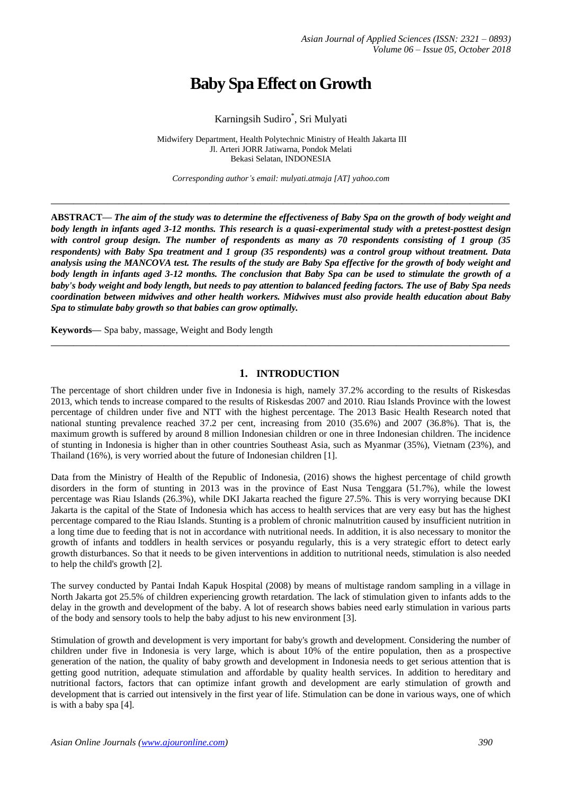# **Baby Spa Effect on Growth**

## Karningsih Sudiro\* , Sri Mulyati

Midwifery Department, Health Polytechnic Ministry of Health Jakarta III Jl. Arteri JORR Jatiwarna, Pondok Melati Bekasi Selatan, INDONESIA

*Corresponding author's email: mulyati.atmaja [AT] yahoo.com*

**\_\_\_\_\_\_\_\_\_\_\_\_\_\_\_\_\_\_\_\_\_\_\_\_\_\_\_\_\_\_\_\_\_\_\_\_\_\_\_\_\_\_\_\_\_\_\_\_\_\_\_\_\_\_\_\_\_\_\_\_\_\_\_\_\_\_\_\_\_\_\_\_\_\_\_\_\_\_\_\_\_**

**ABSTRACT—** *The aim of the study was to determine the effectiveness of Baby Spa on the growth of body weight and body length in infants aged 3-12 months. This research is a quasi-experimental study with a pretest-posttest design with control group design. The number of respondents as many as 70 respondents consisting of 1 group (35 respondents) with Baby Spa treatment and 1 group (35 respondents) was a control group without treatment. Data analysis using the MANCOVA test. The results of the study are Baby Spa effective for the growth of body weight and body length in infants aged 3-12 months. The conclusion that Baby Spa can be used to stimulate the growth of a baby's body weight and body length, but needs to pay attention to balanced feeding factors. The use of Baby Spa needs coordination between midwives and other health workers. Midwives must also provide health education about Baby Spa to stimulate baby growth so that babies can grow optimally.*

**Keywords—** Spa baby, massage, Weight and Body length

#### **1. INTRODUCTION**

**\_\_\_\_\_\_\_\_\_\_\_\_\_\_\_\_\_\_\_\_\_\_\_\_\_\_\_\_\_\_\_\_\_\_\_\_\_\_\_\_\_\_\_\_\_\_\_\_\_\_\_\_\_\_\_\_\_\_\_\_\_\_\_\_\_\_\_\_\_\_\_\_\_\_\_\_\_\_\_\_\_**

The percentage of short children under five in Indonesia is high, namely 37.2% according to the results of Riskesdas 2013, which tends to increase compared to the results of Riskesdas 2007 and 2010. Riau Islands Province with the lowest percentage of children under five and NTT with the highest percentage. The 2013 Basic Health Research noted that national stunting prevalence reached 37.2 per cent, increasing from 2010 (35.6%) and 2007 (36.8%). That is, the maximum growth is suffered by around 8 million Indonesian children or one in three Indonesian children. The incidence of stunting in Indonesia is higher than in other countries Southeast Asia, such as Myanmar (35%), Vietnam (23%), and Thailand (16%), is very worried about the future of Indonesian children [1].

Data from the Ministry of Health of the Republic of Indonesia, (2016) shows the highest percentage of child growth disorders in the form of stunting in 2013 was in the province of East Nusa Tenggara (51.7%), while the lowest percentage was Riau Islands (26.3%), while DKI Jakarta reached the figure 27.5%. This is very worrying because DKI Jakarta is the capital of the State of Indonesia which has access to health services that are very easy but has the highest percentage compared to the Riau Islands. Stunting is a problem of chronic malnutrition caused by insufficient nutrition in a long time due to feeding that is not in accordance with nutritional needs. In addition, it is also necessary to monitor the growth of infants and toddlers in health services or posyandu regularly, this is a very strategic effort to detect early growth disturbances. So that it needs to be given interventions in addition to nutritional needs, stimulation is also needed to help the child's growth [2].

The survey conducted by Pantai Indah Kapuk Hospital (2008) by means of multistage random sampling in a village in North Jakarta got 25.5% of children experiencing growth retardation. The lack of stimulation given to infants adds to the delay in the growth and development of the baby. A lot of research shows babies need early stimulation in various parts of the body and sensory tools to help the baby adjust to his new environment [3].

Stimulation of growth and development is very important for baby's growth and development. Considering the number of children under five in Indonesia is very large, which is about 10% of the entire population, then as a prospective generation of the nation, the quality of baby growth and development in Indonesia needs to get serious attention that is getting good nutrition, adequate stimulation and affordable by quality health services. In addition to hereditary and nutritional factors, factors that can optimize infant growth and development are early stimulation of growth and development that is carried out intensively in the first year of life. Stimulation can be done in various ways, one of which is with a baby spa [4].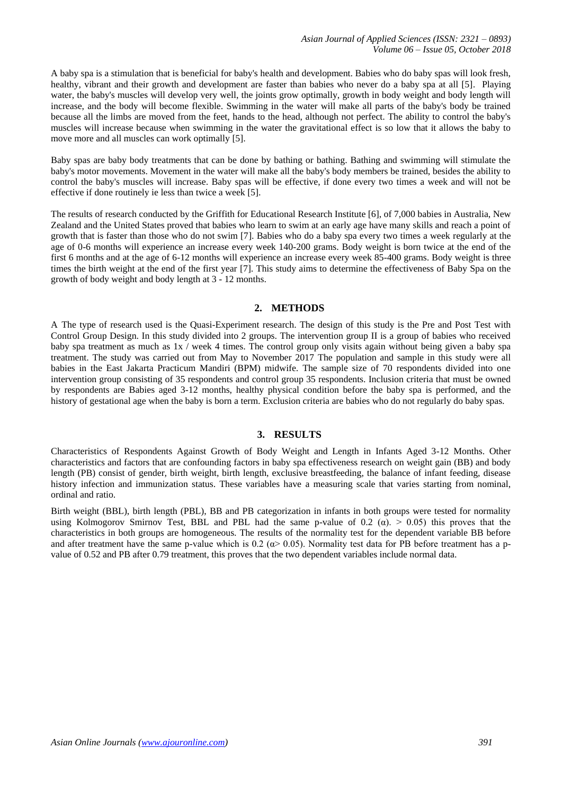A baby spa is a stimulation that is beneficial for baby's health and development. Babies who do baby spas will look fresh, healthy, vibrant and their growth and development are faster than babies who never do a baby spa at all [5]. Playing water, the baby's muscles will develop very well, the joints grow optimally, growth in body weight and body length will increase, and the body will become flexible. Swimming in the water will make all parts of the baby's body be trained because all the limbs are moved from the feet, hands to the head, although not perfect. The ability to control the baby's muscles will increase because when swimming in the water the gravitational effect is so low that it allows the baby to move more and all muscles can work optimally [5].

Baby spas are baby body treatments that can be done by bathing or bathing. Bathing and swimming will stimulate the baby's motor movements. Movement in the water will make all the baby's body members be trained, besides the ability to control the baby's muscles will increase. Baby spas will be effective, if done every two times a week and will not be effective if done routinely ie less than twice a week [5].

The results of research conducted by the Griffith for Educational Research Institute [6], of 7,000 babies in Australia, New Zealand and the United States proved that babies who learn to swim at an early age have many skills and reach a point of growth that is faster than those who do not swim [7]. Babies who do a baby spa every two times a week regularly at the age of 0-6 months will experience an increase every week 140-200 grams. Body weight is born twice at the end of the first 6 months and at the age of 6-12 months will experience an increase every week 85-400 grams. Body weight is three times the birth weight at the end of the first year [7]. This study aims to determine the effectiveness of Baby Spa on the growth of body weight and body length at 3 - 12 months.

#### **2. METHODS**

A The type of research used is the Quasi-Experiment research. The design of this study is the Pre and Post Test with Control Group Design. In this study divided into 2 groups. The intervention group II is a group of babies who received baby spa treatment as much as 1x / week 4 times. The control group only visits again without being given a baby spa treatment. The study was carried out from May to November 2017 The population and sample in this study were all babies in the East Jakarta Practicum Mandiri (BPM) midwife. The sample size of 70 respondents divided into one intervention group consisting of 35 respondents and control group 35 respondents. Inclusion criteria that must be owned by respondents are Babies aged 3-12 months, healthy physical condition before the baby spa is performed, and the history of gestational age when the baby is born a term. Exclusion criteria are babies who do not regularly do baby spas.

## **3. RESULTS**

Characteristics of Respondents Against Growth of Body Weight and Length in Infants Aged 3-12 Months. Other characteristics and factors that are confounding factors in baby spa effectiveness research on weight gain (BB) and body length (PB) consist of gender, birth weight, birth length, exclusive breastfeeding, the balance of infant feeding, disease history infection and immunization status. These variables have a measuring scale that varies starting from nominal, ordinal and ratio.

Birth weight (BBL), birth length (PBL), BB and PB categorization in infants in both groups were tested for normality using Kolmogorov Smirnov Test, BBL and PBL had the same p-value of 0.2 ( $\alpha$ ).  $> 0.05$ ) this proves that the characteristics in both groups are homogeneous. The results of the normality test for the dependent variable BB before and after treatment have the same p-value which is 0.2 ( $\alpha$ > 0.05). Normality test data for PB before treatment has a pvalue of 0.52 and PB after 0.79 treatment, this proves that the two dependent variables include normal data.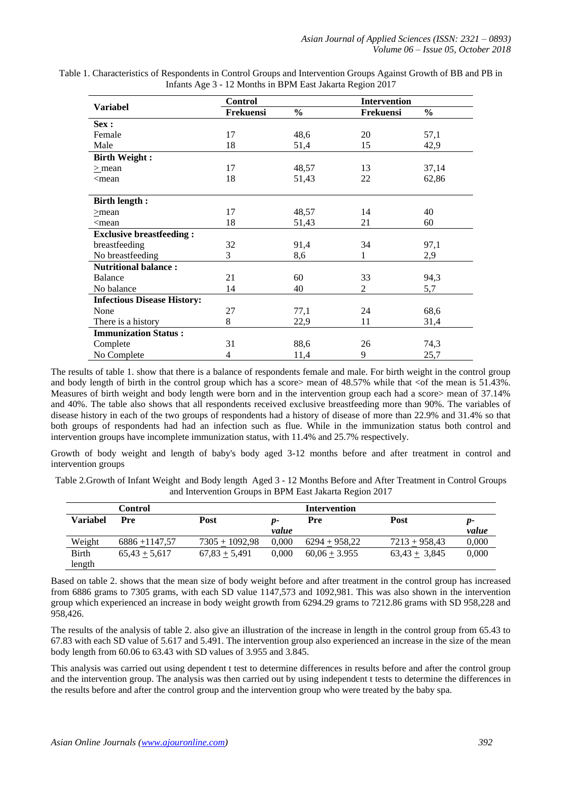|                                                                      | <b>Control</b> |               | <b>Intervention</b> |               |  |
|----------------------------------------------------------------------|----------------|---------------|---------------------|---------------|--|
| <b>Variabel</b>                                                      | Frekuensi      | $\frac{0}{0}$ | Frekuensi           | $\frac{0}{0}$ |  |
| Sex:                                                                 |                |               |                     |               |  |
| Female                                                               | 17             | 48,6          | 20                  | 57,1          |  |
| Male                                                                 | 18             | 51,4          | 15                  | 42,9          |  |
| <b>Birth Weight:</b>                                                 |                |               |                     |               |  |
| $>$ mean                                                             | 17             | 48,57         | 13                  | 37,14         |  |
| $\leq$ mean                                                          | 18             | 51,43         | 22                  | 62,86         |  |
|                                                                      |                |               |                     |               |  |
| <b>Birth length:</b>                                                 |                |               |                     |               |  |
| $>$ mean                                                             | 17             | 48,57         | 14                  | 40            |  |
| <mean< td=""><td>18</td><td>51,43</td><td>21</td><td>60</td></mean<> | 18             | 51,43         | 21                  | 60            |  |
| <b>Exclusive breastfeeding:</b>                                      |                |               |                     |               |  |
| breastfeeding                                                        | 32             | 91,4          | 34                  | 97,1          |  |
| No breastfeeding                                                     | 3              | 8,6           | 1                   | 2,9           |  |
| <b>Nutritional balance:</b>                                          |                |               |                     |               |  |
| <b>Balance</b>                                                       | 21             | 60            | 33                  | 94,3          |  |
| No balance                                                           | 14             | 40            | 2                   | 5,7           |  |
| <b>Infectious Disease History:</b>                                   |                |               |                     |               |  |
| None                                                                 | 27             | 77,1          | 24                  | 68,6          |  |
| There is a history                                                   | 8              | 22,9          | 11                  | 31,4          |  |
| <b>Immunization Status:</b>                                          |                |               |                     |               |  |
| Complete                                                             | 31             | 88,6          | 26                  | 74,3          |  |
| No Complete                                                          | 4              | 11,4          | 9                   | 25,7          |  |

Table 1. Characteristics of Respondents in Control Groups and Intervention Groups Against Growth of BB and PB in Infants Age 3 - 12 Months in BPM East Jakarta Region 2017

The results of table 1. show that there is a balance of respondents female and male. For birth weight in the control group and body length of birth in the control group which has a score> mean of 48.57% while that <of the mean is 51.43%. Measures of birth weight and body length were born and in the intervention group each had a score> mean of 37.14% and 40%. The table also shows that all respondents received exclusive breastfeeding more than 90%. The variables of disease history in each of the two groups of respondents had a history of disease of more than 22.9% and 31.4% so that both groups of respondents had had an infection such as flue. While in the immunization status both control and intervention groups have incomplete immunization status, with 11.4% and 25.7% respectively.

Growth of body weight and length of baby's body aged 3-12 months before and after treatment in control and intervention groups

Table 2.Growth of Infant Weight and Body length Aged 3 - 12 Months Before and After Treatment in Control Groups and Intervention Groups in BPM East Jakarta Region 2017

|              | Control          |                  |       | Intervention    |                   |       |
|--------------|------------------|------------------|-------|-----------------|-------------------|-------|
| Variabel     | Pre              | Post             | p-    | Pre             | Post              | р-    |
|              |                  |                  | value |                 |                   | value |
| Weight       | $6886 + 1147.57$ | $7305 + 1092.98$ | 0.000 | $6294 + 958.22$ | $7213 + 958,43$   | 0,000 |
| <b>Birth</b> | $65,43 + 5,617$  | $67,83 + 5,491$  | 0.000 | $60,06 + 3.955$ | $63,43 \pm 3,845$ | 0,000 |
| length       |                  |                  |       |                 |                   |       |

Based on table 2. shows that the mean size of body weight before and after treatment in the control group has increased from 6886 grams to 7305 grams, with each SD value 1147,573 and 1092,981. This was also shown in the intervention group which experienced an increase in body weight growth from 6294.29 grams to 7212.86 grams with SD 958,228 and 958,426.

The results of the analysis of table 2. also give an illustration of the increase in length in the control group from 65.43 to 67.83 with each SD value of 5.617 and 5.491. The intervention group also experienced an increase in the size of the mean body length from 60.06 to 63.43 with SD values of 3.955 and 3.845.

This analysis was carried out using dependent t test to determine differences in results before and after the control group and the intervention group. The analysis was then carried out by using independent t tests to determine the differences in the results before and after the control group and the intervention group who were treated by the baby spa.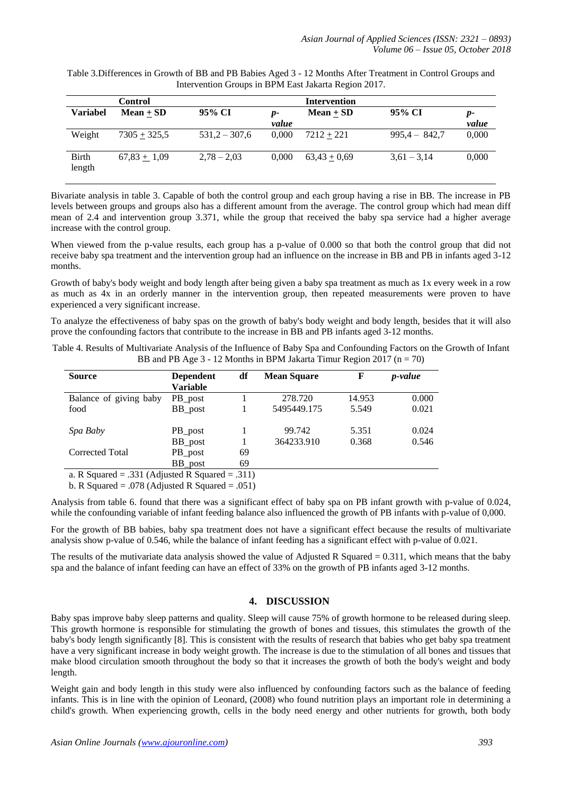|                 | <b>Control</b> |                 |             | <b>Intervention</b> |                 |               |
|-----------------|----------------|-----------------|-------------|---------------------|-----------------|---------------|
| <b>Variabel</b> | $Mean + SD$    | 95% CI          | p-<br>value | Mean $\pm$ SD       | 95% CI          | $p-$<br>value |
| Weight          | $7305 + 325,5$ | $531,2 - 307,6$ | 0.000       | $7212 + 221$        | $995.4 - 842.7$ | 0,000         |
| Birth<br>length | $67,83 + 1,09$ | $2,78 - 2,03$   | 0,000       | $63,43 + 0,69$      | $3,61 - 3,14$   | 0,000         |

Table 3.Differences in Growth of BB and PB Babies Aged 3 - 12 Months After Treatment in Control Groups and Intervention Groups in BPM East Jakarta Region 2017.

Bivariate analysis in table 3. Capable of both the control group and each group having a rise in BB. The increase in PB levels between groups and groups also has a different amount from the average. The control group which had mean diff mean of 2.4 and intervention group 3.371, while the group that received the baby spa service had a higher average increase with the control group.

When viewed from the p-value results, each group has a p-value of 0.000 so that both the control group that did not receive baby spa treatment and the intervention group had an influence on the increase in BB and PB in infants aged 3-12 months.

Growth of baby's body weight and body length after being given a baby spa treatment as much as 1x every week in a row as much as 4x in an orderly manner in the intervention group, then repeated measurements were proven to have experienced a very significant increase.

To analyze the effectiveness of baby spas on the growth of baby's body weight and body length, besides that it will also prove the confounding factors that contribute to the increase in BB and PB infants aged 3-12 months.

| <b>Source</b>                                                     | <b>Dependent</b>     | df            | <b>Mean Square</b> | F      | <i>p</i> -value |
|-------------------------------------------------------------------|----------------------|---------------|--------------------|--------|-----------------|
|                                                                   | <b>Variable</b>      |               |                    |        |                 |
| Balance of giving baby                                            | PB_post              |               | 278.720            | 14.953 | 0.000           |
| food                                                              | BB_post              |               | 5495449.175        | 5.549  | 0.021           |
| Spa Baby                                                          | PB_post              |               | 99.742             | 5.351  | 0.024           |
|                                                                   | BB_post              |               | 364233.910         | 0.368  | 0.546           |
| Corrected Total                                                   | PB_post              | 69            |                    |        |                 |
|                                                                   | BB_post              | 69            |                    |        |                 |
| $\sim$ $\sim$<br>$\sim$ $\sim$ $\sim$ $\sim$ $\sim$ $\sim$ $\sim$ | $\sim$ $\sim$ $\sim$ | $\sim$ $\sim$ |                    |        |                 |

Table 4. Results of Multivariate Analysis of the Influence of Baby Spa and Confounding Factors on the Growth of Infant BB and PB Age  $3 - 12$  Months in BPM Jakarta Timur Region 2017 (n = 70)

a. R Squared = .331 (Adjusted R Squared = .311)

b. R Squared = .078 (Adjusted R Squared = .051)

Analysis from table 6. found that there was a significant effect of baby spa on PB infant growth with p-value of 0.024, while the confounding variable of infant feeding balance also influenced the growth of PB infants with p-value of 0,000.

For the growth of BB babies, baby spa treatment does not have a significant effect because the results of multivariate analysis show p-value of 0.546, while the balance of infant feeding has a significant effect with p-value of 0.021.

The results of the mutivariate data analysis showed the value of Adjusted R Squared  $= 0.311$ , which means that the baby spa and the balance of infant feeding can have an effect of 33% on the growth of PB infants aged 3-12 months.

## **4. DISCUSSION**

Baby spas improve baby sleep patterns and quality. Sleep will cause 75% of growth hormone to be released during sleep. This growth hormone is responsible for stimulating the growth of bones and tissues, this stimulates the growth of the baby's body length significantly [8]. This is consistent with the results of research that babies who get baby spa treatment have a very significant increase in body weight growth. The increase is due to the stimulation of all bones and tissues that make blood circulation smooth throughout the body so that it increases the growth of both the body's weight and body length.

Weight gain and body length in this study were also influenced by confounding factors such as the balance of feeding infants. This is in line with the opinion of Leonard, (2008) who found nutrition plays an important role in determining a child's growth. When experiencing growth, cells in the body need energy and other nutrients for growth, both body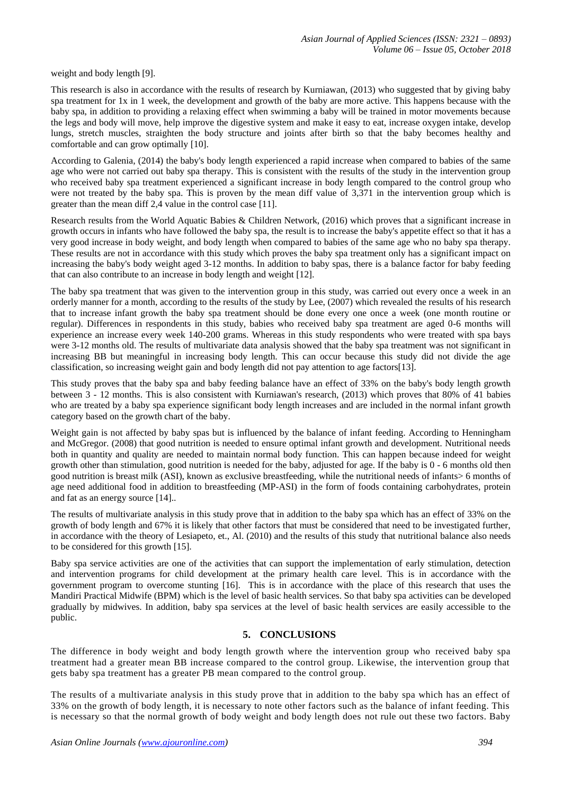weight and body length [9].

This research is also in accordance with the results of research by Kurniawan, (2013) who suggested that by giving baby spa treatment for 1x in 1 week, the development and growth of the baby are more active. This happens because with the baby spa, in addition to providing a relaxing effect when swimming a baby will be trained in motor movements because the legs and body will move, help improve the digestive system and make it easy to eat, increase oxygen intake, develop lungs, stretch muscles, straighten the body structure and joints after birth so that the baby becomes healthy and comfortable and can grow optimally [10].

According to Galenia, (2014) the baby's body length experienced a rapid increase when compared to babies of the same age who were not carried out baby spa therapy. This is consistent with the results of the study in the intervention group who received baby spa treatment experienced a significant increase in body length compared to the control group who were not treated by the baby spa. This is proven by the mean diff value of 3,371 in the intervention group which is greater than the mean diff 2,4 value in the control case [11].

Research results from the World Aquatic Babies & Children Network, (2016) which proves that a significant increase in growth occurs in infants who have followed the baby spa, the result is to increase the baby's appetite effect so that it has a very good increase in body weight, and body length when compared to babies of the same age who no baby spa therapy. These results are not in accordance with this study which proves the baby spa treatment only has a significant impact on increasing the baby's body weight aged 3-12 months. In addition to baby spas, there is a balance factor for baby feeding that can also contribute to an increase in body length and weight [12].

The baby spa treatment that was given to the intervention group in this study, was carried out every once a week in an orderly manner for a month, according to the results of the study by Lee, (2007) which revealed the results of his research that to increase infant growth the baby spa treatment should be done every one once a week (one month routine or regular). Differences in respondents in this study, babies who received baby spa treatment are aged 0-6 months will experience an increase every week 140-200 grams. Whereas in this study respondents who were treated with spa bays were 3-12 months old. The results of multivariate data analysis showed that the baby spa treatment was not significant in increasing BB but meaningful in increasing body length. This can occur because this study did not divide the age classification, so increasing weight gain and body length did not pay attention to age factors[13].

This study proves that the baby spa and baby feeding balance have an effect of 33% on the baby's body length growth between 3 - 12 months. This is also consistent with Kurniawan's research, (2013) which proves that 80% of 41 babies who are treated by a baby spa experience significant body length increases and are included in the normal infant growth category based on the growth chart of the baby.

Weight gain is not affected by baby spas but is influenced by the balance of infant feeding. According to Henningham and McGregor. (2008) that good nutrition is needed to ensure optimal infant growth and development. Nutritional needs both in quantity and quality are needed to maintain normal body function. This can happen because indeed for weight growth other than stimulation, good nutrition is needed for the baby, adjusted for age. If the baby is 0 - 6 months old then good nutrition is breast milk (ASI), known as exclusive breastfeeding, while the nutritional needs of infants> 6 months of age need additional food in addition to breastfeeding (MP-ASI) in the form of foods containing carbohydrates, protein and fat as an energy source [14]..

The results of multivariate analysis in this study prove that in addition to the baby spa which has an effect of 33% on the growth of body length and 67% it is likely that other factors that must be considered that need to be investigated further, in accordance with the theory of Lesiapeto, et., Al. (2010) and the results of this study that nutritional balance also needs to be considered for this growth [15].

Baby spa service activities are one of the activities that can support the implementation of early stimulation, detection and intervention programs for child development at the primary health care level. This is in accordance with the government program to overcome stunting [16]. This is in accordance with the place of this research that uses the Mandiri Practical Midwife (BPM) which is the level of basic health services. So that baby spa activities can be developed gradually by midwives. In addition, baby spa services at the level of basic health services are easily accessible to the public.

## **5. CONCLUSIONS**

The difference in body weight and body length growth where the intervention group who received baby spa treatment had a greater mean BB increase compared to the control group. Likewise, the intervention group that gets baby spa treatment has a greater PB mean compared to the control group.

The results of a multivariate analysis in this study prove that in addition to the baby spa which has an effect of 33% on the growth of body length, it is necessary to note other factors such as the balance of infant feeding. This is necessary so that the normal growth of body weight and body length does not rule out these two factors. Baby